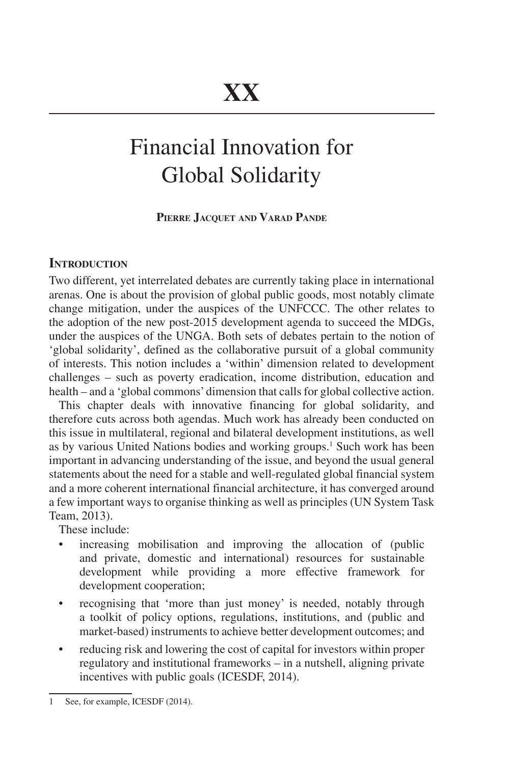# Financial Innovation for Global Solidarity

# **Pierre Jacquet and Varad Pande**

### **INTRODUCTION**

Two different, yet interrelated debates are currently taking place in international arenas. One is about the provision of global public goods, most notably climate change mitigation, under the auspices of the UNFCCC. The other relates to the adoption of the new post-2015 development agenda to succeed the MDGs, under the auspices of the UNGA. Both sets of debates pertain to the notion of 'global solidarity', defined as the collaborative pursuit of a global community of interests. This notion includes a 'within' dimension related to development challenges – such as poverty eradication, income distribution, education and health – and a 'global commons' dimension that calls for global collective action.

This chapter deals with innovative financing for global solidarity, and therefore cuts across both agendas. Much work has already been conducted on this issue in multilateral, regional and bilateral development institutions, as well as by various United Nations bodies and working groups.<sup>1</sup> Such work has been important in advancing understanding of the issue, and beyond the usual general statements about the need for a stable and well-regulated global financial system and a more coherent international financial architecture, it has converged around a few important ways to organise thinking as well as principles (UN System Task Team, 2013).

These include:

- increasing mobilisation and improving the allocation of (public and private, domestic and international) resources for sustainable development while providing a more effective framework for development cooperation;
- recognising that 'more than just money' is needed, notably through a toolkit of policy options, regulations, institutions, and (public and market-based) instruments to achieve better development outcomes; and
- reducing risk and lowering the cost of capital for investors within proper regulatory and institutional frameworks – in a nutshell, aligning private incentives with public goals (ICESDF, 2014).

<sup>1</sup> See, for example, ICESDF (2014).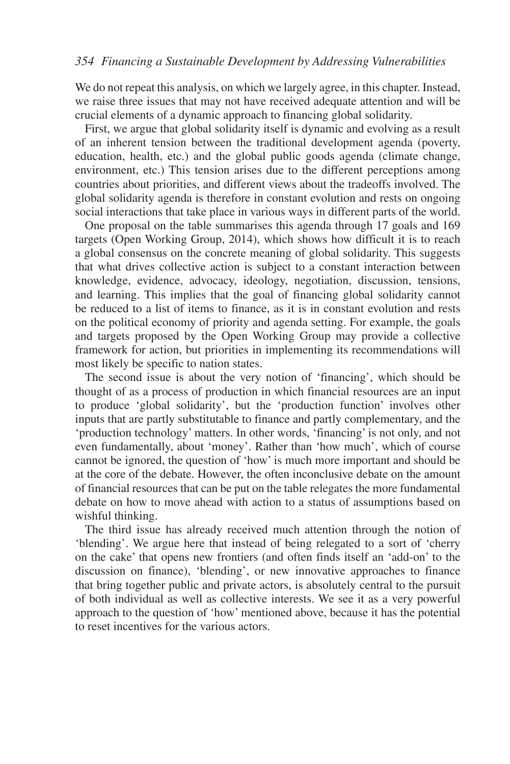#### *354 Financing a Sustainable Development by Addressing Vulnerabilities*

We do not repeat this analysis, on which we largely agree, in this chapter. Instead, we raise three issues that may not have received adequate attention and will be crucial elements of a dynamic approach to financing global solidarity.

First, we argue that global solidarity itself is dynamic and evolving as a result of an inherent tension between the traditional development agenda (poverty, education, health, etc.) and the global public goods agenda (climate change, environment, etc.) This tension arises due to the different perceptions among countries about priorities, and different views about the tradeoffs involved. The global solidarity agenda is therefore in constant evolution and rests on ongoing social interactions that take place in various ways in different parts of the world.

One proposal on the table summarises this agenda through 17 goals and 169 targets (Open Working Group, 2014), which shows how difficult it is to reach a global consensus on the concrete meaning of global solidarity. This suggests that what drives collective action is subject to a constant interaction between knowledge, evidence, advocacy, ideology, negotiation, discussion, tensions, and learning. This implies that the goal of financing global solidarity cannot be reduced to a list of items to finance, as it is in constant evolution and rests on the political economy of priority and agenda setting. For example, the goals and targets proposed by the Open Working Group may provide a collective framework for action, but priorities in implementing its recommendations will most likely be specific to nation states.

The second issue is about the very notion of 'financing', which should be thought of as a process of production in which financial resources are an input to produce 'global solidarity', but the 'production function' involves other inputs that are partly substitutable to finance and partly complementary, and the 'production technology' matters. In other words, 'financing' is not only, and not even fundamentally, about 'money'. Rather than 'how much', which of course cannot be ignored, the question of 'how' is much more important and should be at the core of the debate. However, the often inconclusive debate on the amount of financial resources that can be put on the table relegates the more fundamental debate on how to move ahead with action to a status of assumptions based on wishful thinking.

The third issue has already received much attention through the notion of 'blending'. We argue here that instead of being relegated to a sort of 'cherry on the cake' that opens new frontiers (and often finds itself an 'add-on' to the discussion on finance), 'blending', or new innovative approaches to finance that bring together public and private actors, is absolutely central to the pursuit of both individual as well as collective interests. We see it as a very powerful approach to the question of 'how' mentioned above, because it has the potential to reset incentives for the various actors.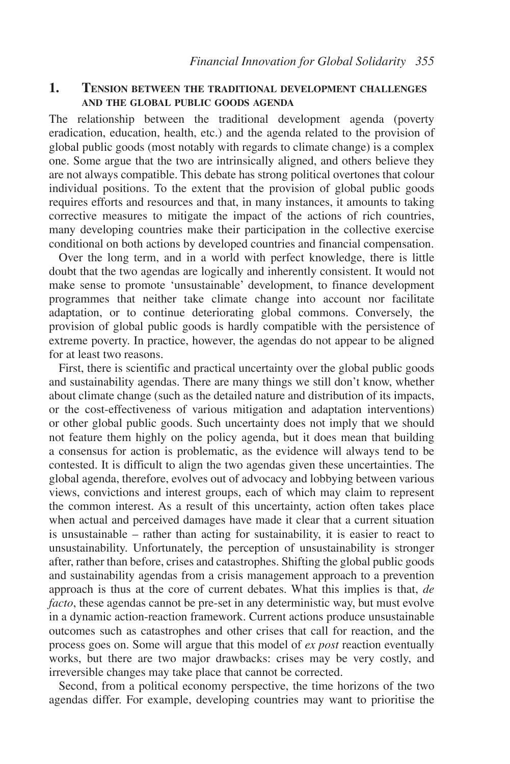#### **1. Tension between the traditional development challenges and the global public goods agenda**

The relationship between the traditional development agenda (poverty eradication, education, health, etc.) and the agenda related to the provision of global public goods (most notably with regards to climate change) is a complex one. Some argue that the two are intrinsically aligned, and others believe they are not always compatible. This debate has strong political overtones that colour individual positions. To the extent that the provision of global public goods requires efforts and resources and that, in many instances, it amounts to taking corrective measures to mitigate the impact of the actions of rich countries, many developing countries make their participation in the collective exercise conditional on both actions by developed countries and financial compensation.

Over the long term, and in a world with perfect knowledge, there is little doubt that the two agendas are logically and inherently consistent. It would not make sense to promote 'unsustainable' development, to finance development programmes that neither take climate change into account nor facilitate adaptation, or to continue deteriorating global commons. Conversely, the provision of global public goods is hardly compatible with the persistence of extreme poverty. In practice, however, the agendas do not appear to be aligned for at least two reasons.

First, there is scientific and practical uncertainty over the global public goods and sustainability agendas. There are many things we still don't know, whether about climate change (such as the detailed nature and distribution of its impacts, or the cost-effectiveness of various mitigation and adaptation interventions) or other global public goods. Such uncertainty does not imply that we should not feature them highly on the policy agenda, but it does mean that building a consensus for action is problematic, as the evidence will always tend to be contested. It is difficult to align the two agendas given these uncertainties. The global agenda, therefore, evolves out of advocacy and lobbying between various views, convictions and interest groups, each of which may claim to represent the common interest. As a result of this uncertainty, action often takes place when actual and perceived damages have made it clear that a current situation is unsustainable – rather than acting for sustainability, it is easier to react to unsustainability. Unfortunately, the perception of unsustainability is stronger after, rather than before, crises and catastrophes. Shifting the global public goods and sustainability agendas from a crisis management approach to a prevention approach is thus at the core of current debates. What this implies is that, *de facto*, these agendas cannot be pre-set in any deterministic way, but must evolve in a dynamic action-reaction framework. Current actions produce unsustainable outcomes such as catastrophes and other crises that call for reaction, and the process goes on. Some will argue that this model of *ex post* reaction eventually works, but there are two major drawbacks: crises may be very costly, and irreversible changes may take place that cannot be corrected.

Second, from a political economy perspective, the time horizons of the two agendas differ. For example, developing countries may want to prioritise the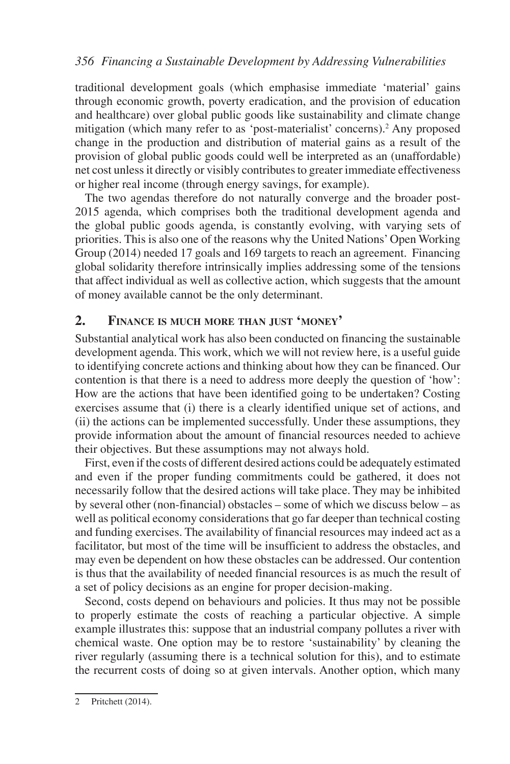## *356 Financing a Sustainable Development by Addressing Vulnerabilities*

traditional development goals (which emphasise immediate 'material' gains through economic growth, poverty eradication, and the provision of education and healthcare) over global public goods like sustainability and climate change mitigation (which many refer to as 'post-materialist' concerns).<sup>2</sup> Any proposed change in the production and distribution of material gains as a result of the provision of global public goods could well be interpreted as an (unaffordable) net cost unless it directly or visibly contributes to greater immediate effectiveness or higher real income (through energy savings, for example).

The two agendas therefore do not naturally converge and the broader post-2015 agenda, which comprises both the traditional development agenda and the global public goods agenda, is constantly evolving, with varying sets of priorities. This is also one of the reasons why the United Nations' Open Working Group (2014) needed 17 goals and 169 targets to reach an agreement. Financing global solidarity therefore intrinsically implies addressing some of the tensions that affect individual as well as collective action, which suggests that the amount of money available cannot be the only determinant.

# **2. Finance is much more than just 'money'**

Substantial analytical work has also been conducted on financing the sustainable development agenda. This work, which we will not review here, is a useful guide to identifying concrete actions and thinking about how they can be financed. Our contention is that there is a need to address more deeply the question of 'how': How are the actions that have been identified going to be undertaken? Costing exercises assume that (i) there is a clearly identified unique set of actions, and (ii) the actions can be implemented successfully. Under these assumptions, they provide information about the amount of financial resources needed to achieve their objectives. But these assumptions may not always hold.

First, even if the costs of different desired actions could be adequately estimated and even if the proper funding commitments could be gathered, it does not necessarily follow that the desired actions will take place. They may be inhibited by several other (non-financial) obstacles – some of which we discuss below – as well as political economy considerations that go far deeper than technical costing and funding exercises. The availability of financial resources may indeed act as a facilitator, but most of the time will be insufficient to address the obstacles, and may even be dependent on how these obstacles can be addressed. Our contention is thus that the availability of needed financial resources is as much the result of a set of policy decisions as an engine for proper decision-making.

Second, costs depend on behaviours and policies. It thus may not be possible to properly estimate the costs of reaching a particular objective. A simple example illustrates this: suppose that an industrial company pollutes a river with chemical waste. One option may be to restore 'sustainability' by cleaning the river regularly (assuming there is a technical solution for this), and to estimate the recurrent costs of doing so at given intervals. Another option, which many

<sup>2</sup> Pritchett (2014).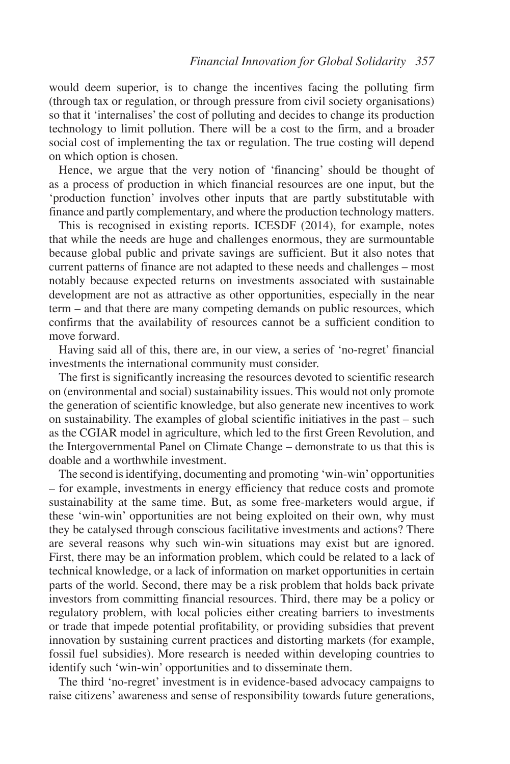would deem superior, is to change the incentives facing the polluting firm (through tax or regulation, or through pressure from civil society organisations) so that it 'internalises' the cost of polluting and decides to change its production technology to limit pollution. There will be a cost to the firm, and a broader social cost of implementing the tax or regulation. The true costing will depend on which option is chosen.

Hence, we argue that the very notion of 'financing' should be thought of as a process of production in which financial resources are one input, but the 'production function' involves other inputs that are partly substitutable with finance and partly complementary, and where the production technology matters.

This is recognised in existing reports. ICESDF (2014), for example, notes that while the needs are huge and challenges enormous, they are surmountable because global public and private savings are sufficient. But it also notes that current patterns of finance are not adapted to these needs and challenges – most notably because expected returns on investments associated with sustainable development are not as attractive as other opportunities, especially in the near term – and that there are many competing demands on public resources, which confirms that the availability of resources cannot be a sufficient condition to move forward.

Having said all of this, there are, in our view, a series of 'no-regret' financial investments the international community must consider.

The first is significantly increasing the resources devoted to scientific research on (environmental and social) sustainability issues. This would not only promote the generation of scientific knowledge, but also generate new incentives to work on sustainability. The examples of global scientific initiatives in the past – such as the CGIAR model in agriculture, which led to the first Green Revolution, and the Intergovernmental Panel on Climate Change – demonstrate to us that this is doable and a worthwhile investment.

The second is identifying, documenting and promoting 'win-win' opportunities – for example, investments in energy efficiency that reduce costs and promote sustainability at the same time. But, as some free-marketers would argue, if these 'win-win' opportunities are not being exploited on their own, why must they be catalysed through conscious facilitative investments and actions? There are several reasons why such win-win situations may exist but are ignored. First, there may be an information problem, which could be related to a lack of technical knowledge, or a lack of information on market opportunities in certain parts of the world. Second, there may be a risk problem that holds back private investors from committing financial resources. Third, there may be a policy or regulatory problem, with local policies either creating barriers to investments or trade that impede potential profitability, or providing subsidies that prevent innovation by sustaining current practices and distorting markets (for example, fossil fuel subsidies). More research is needed within developing countries to identify such 'win-win' opportunities and to disseminate them.

The third 'no-regret' investment is in evidence-based advocacy campaigns to raise citizens' awareness and sense of responsibility towards future generations,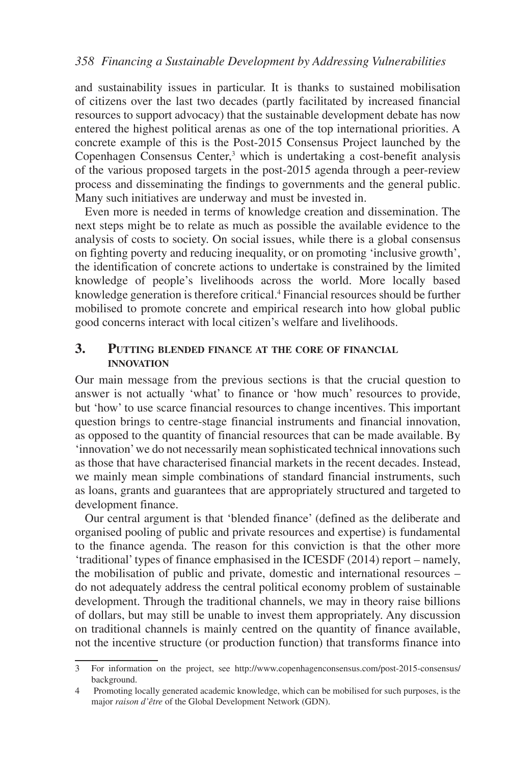and sustainability issues in particular. It is thanks to sustained mobilisation of citizens over the last two decades (partly facilitated by increased financial resources to support advocacy) that the sustainable development debate has now entered the highest political arenas as one of the top international priorities. A concrete example of this is the Post-2015 Consensus Project launched by the Copenhagen Consensus Center,<sup>3</sup> which is undertaking a cost-benefit analysis of the various proposed targets in the post-2015 agenda through a peer-review process and disseminating the findings to governments and the general public. Many such initiatives are underway and must be invested in.

Even more is needed in terms of knowledge creation and dissemination. The next steps might be to relate as much as possible the available evidence to the analysis of costs to society. On social issues, while there is a global consensus on fighting poverty and reducing inequality, or on promoting 'inclusive growth', the identification of concrete actions to undertake is constrained by the limited knowledge of people's livelihoods across the world. More locally based knowledge generation is therefore critical.4 Financial resources should be further mobilised to promote concrete and empirical research into how global public good concerns interact with local citizen's welfare and livelihoods.

## **3. Putting blended finance at the core of financial innovation**

Our main message from the previous sections is that the crucial question to answer is not actually 'what' to finance or 'how much' resources to provide, but 'how' to use scarce financial resources to change incentives. This important question brings to centre-stage financial instruments and financial innovation, as opposed to the quantity of financial resources that can be made available. By 'innovation' we do not necessarily mean sophisticated technical innovations such as those that have characterised financial markets in the recent decades. Instead, we mainly mean simple combinations of standard financial instruments, such as loans, grants and guarantees that are appropriately structured and targeted to development finance.

Our central argument is that 'blended finance' (defined as the deliberate and organised pooling of public and private resources and expertise) is fundamental to the finance agenda. The reason for this conviction is that the other more 'traditional' types of finance emphasised in the ICESDF (2014) report – namely, the mobilisation of public and private, domestic and international resources – do not adequately address the central political economy problem of sustainable development. Through the traditional channels, we may in theory raise billions of dollars, but may still be unable to invest them appropriately. Any discussion on traditional channels is mainly centred on the quantity of finance available, not the incentive structure (or production function) that transforms finance into

<sup>3</sup> For information on the project, see [http://www.copenhagenconsensus.com/post-2015-consensus/](http://www.copenhagenconsensus.com/post-2015-consensus/background) [background](http://www.copenhagenconsensus.com/post-2015-consensus/background).

<sup>4</sup> Promoting locally generated academic knowledge, which can be mobilised for such purposes, is the major *raison d'être* of the Global Development Network (GDN).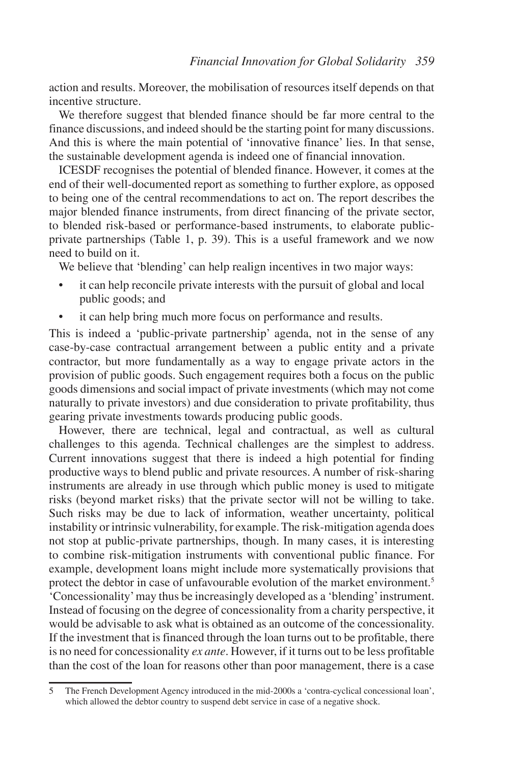action and results. Moreover, the mobilisation of resources itself depends on that incentive structure.

We therefore suggest that blended finance should be far more central to the finance discussions, and indeed should be the starting point for many discussions. And this is where the main potential of 'innovative finance' lies. In that sense, the sustainable development agenda is indeed one of financial innovation.

ICESDF recognises the potential of blended finance. However, it comes at the end of their well-documented report as something to further explore, as opposed to being one of the central recommendations to act on. The report describes the major blended finance instruments, from direct financing of the private sector, to blended risk-based or performance-based instruments, to elaborate publicprivate partnerships (Table 1, p. 39). This is a useful framework and we now need to build on it.

We believe that 'blending' can help realign incentives in two major ways:

- it can help reconcile private interests with the pursuit of global and local public goods; and
- it can help bring much more focus on performance and results.

This is indeed a 'public-private partnership' agenda, not in the sense of any case-by-case contractual arrangement between a public entity and a private contractor, but more fundamentally as a way to engage private actors in the provision of public goods. Such engagement requires both a focus on the public goods dimensions and social impact of private investments (which may not come naturally to private investors) and due consideration to private profitability, thus gearing private investments towards producing public goods.

However, there are technical, legal and contractual, as well as cultural challenges to this agenda. Technical challenges are the simplest to address. Current innovations suggest that there is indeed a high potential for finding productive ways to blend public and private resources. A number of risk-sharing instruments are already in use through which public money is used to mitigate risks (beyond market risks) that the private sector will not be willing to take. Such risks may be due to lack of information, weather uncertainty, political instability or intrinsic vulnerability, for example. The risk-mitigation agenda does not stop at public-private partnerships, though. In many cases, it is interesting to combine risk-mitigation instruments with conventional public finance. For example, development loans might include more systematically provisions that protect the debtor in case of unfavourable evolution of the market environment.<sup>5</sup> 'Concessionality' may thus be increasingly developed as a 'blending' instrument. Instead of focusing on the degree of concessionality from a charity perspective, it would be advisable to ask what is obtained as an outcome of the concessionality. If the investment that is financed through the loan turns out to be profitable, there is no need for concessionality *ex ante*. However, if it turns out to be less profitable than the cost of the loan for reasons other than poor management, there is a case

<sup>5</sup> The French Development Agency introduced in the mid-2000s a 'contra-cyclical concessional loan', which allowed the debtor country to suspend debt service in case of a negative shock.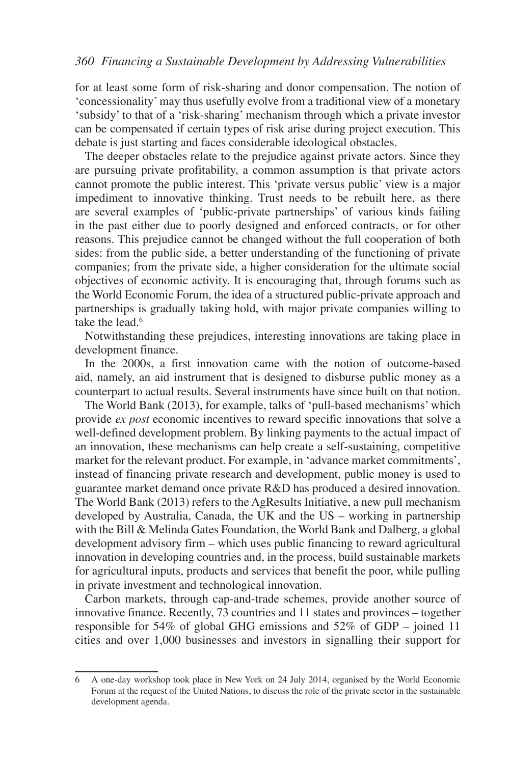#### *360 Financing a Sustainable Development by Addressing Vulnerabilities*

for at least some form of risk-sharing and donor compensation. The notion of 'concessionality' may thus usefully evolve from a traditional view of a monetary 'subsidy' to that of a 'risk-sharing' mechanism through which a private investor can be compensated if certain types of risk arise during project execution. This debate is just starting and faces considerable ideological obstacles.

The deeper obstacles relate to the prejudice against private actors. Since they are pursuing private profitability, a common assumption is that private actors cannot promote the public interest. This 'private versus public' view is a major impediment to innovative thinking. Trust needs to be rebuilt here, as there are several examples of 'public-private partnerships' of various kinds failing in the past either due to poorly designed and enforced contracts, or for other reasons. This prejudice cannot be changed without the full cooperation of both sides: from the public side, a better understanding of the functioning of private companies; from the private side, a higher consideration for the ultimate social objectives of economic activity. It is encouraging that, through forums such as the World Economic Forum, the idea of a structured public-private approach and partnerships is gradually taking hold, with major private companies willing to take the lead.<sup>6</sup>

Notwithstanding these prejudices, interesting innovations are taking place in development finance.

In the 2000s, a first innovation came with the notion of outcome-based aid, namely, an aid instrument that is designed to disburse public money as a counterpart to actual results. Several instruments have since built on that notion.

The World Bank (2013), for example, talks of 'pull-based mechanisms' which provide *ex post* economic incentives to reward specific innovations that solve a well-defined development problem. By linking payments to the actual impact of an innovation, these mechanisms can help create a self-sustaining, competitive market for the relevant product. For example, in 'advance market commitments', instead of financing private research and development, public money is used to guarantee market demand once private R&D has produced a desired innovation. The World Bank (2013) refers to the AgResults Initiative, a new pull mechanism developed by Australia, Canada, the UK and the US – working in partnership with the Bill & Melinda Gates Foundation, the World Bank and Dalberg, a global development advisory firm – which uses public financing to reward agricultural innovation in developing countries and, in the process, build sustainable markets for agricultural inputs, products and services that benefit the poor, while pulling in private investment and technological innovation.

Carbon markets, through cap-and-trade schemes, provide another source of innovative finance. Recently, 73 countries and 11 states and provinces – together responsible for 54% of global GHG emissions and 52% of GDP – joined 11 cities and over 1,000 businesses and investors in signalling their support for

<sup>6</sup> A one-day workshop took place in New York on 24 July 2014, organised by the World Economic Forum at the request of the United Nations, to discuss the role of the private sector in the sustainable development agenda.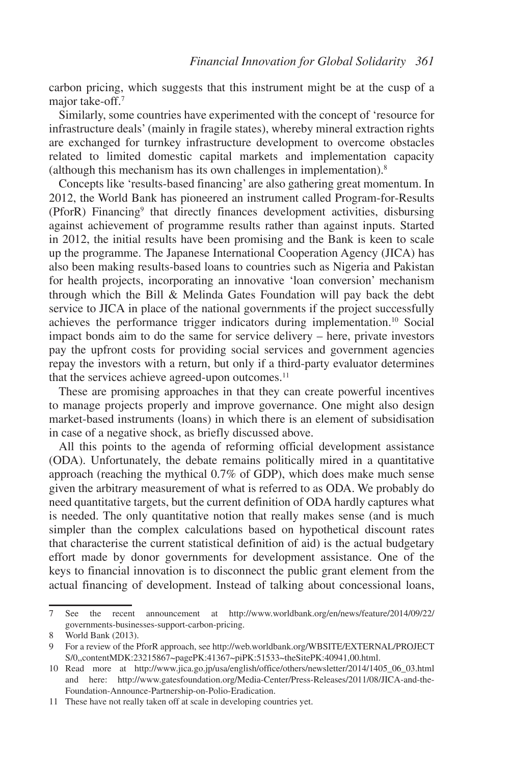carbon pricing, which suggests that this instrument might be at the cusp of a major take-off.<sup>7</sup>

Similarly, some countries have experimented with the concept of 'resource for infrastructure deals' (mainly in fragile states), whereby mineral extraction rights are exchanged for turnkey infrastructure development to overcome obstacles related to limited domestic capital markets and implementation capacity (although this mechanism has its own challenges in implementation).8

Concepts like 'results-based financing' are also gathering great momentum. In 2012, the World Bank has pioneered an instrument called Program-for-Results (PforR) Financing9 that directly finances development activities, disbursing against achievement of programme results rather than against inputs. Started in 2012, the initial results have been promising and the Bank is keen to scale up the programme. The Japanese International Cooperation Agency (JICA) has also been making results-based loans to countries such as Nigeria and Pakistan for health projects, incorporating an innovative 'loan conversion' mechanism through which the Bill  $\&$  Melinda Gates Foundation will pay back the debt service to JICA in place of the national governments if the project successfully achieves the performance trigger indicators during implementation.10 Social impact bonds aim to do the same for service delivery – here, private investors pay the upfront costs for providing social services and government agencies repay the investors with a return, but only if a third-party evaluator determines that the services achieve agreed-upon outcomes.<sup>11</sup>

These are promising approaches in that they can create powerful incentives to manage projects properly and improve governance. One might also design market-based instruments (loans) in which there is an element of subsidisation in case of a negative shock, as briefly discussed above.

All this points to the agenda of reforming official development assistance (ODA). Unfortunately, the debate remains politically mired in a quantitative approach (reaching the mythical 0.7% of GDP), which does make much sense given the arbitrary measurement of what is referred to as ODA. We probably do need quantitative targets, but the current definition of ODA hardly captures what is needed. The only quantitative notion that really makes sense (and is much simpler than the complex calculations based on hypothetical discount rates that characterise the current statistical definition of aid) is the actual budgetary effort made by donor governments for development assistance. One of the keys to financial innovation is to disconnect the public grant element from the actual financing of development. Instead of talking about concessional loans,

<sup>7</sup> See the recent announcement at http://www.worldbank.org/en/news/feature/2014/09/22/ governments-businesses-support-carbon-pricing.

<sup>8</sup> World Bank (2013).

<sup>9</sup> For a review of the PforR approach, see [http://web.worldbank.org/WBSITE/EXTERNAL/PROJECT](http://web.worldbank.org/WBSITE/EXTERNAL/PROJECTS/0,,contentMDK:23215867~pagePK:41367~piPK:51533~theSitePK:40941,00.html) [S/0,,contentMDK:23215867~pagePK:41367~piPK:51533~theSitePK:40941,00.html](http://web.worldbank.org/WBSITE/EXTERNAL/PROJECTS/0,,contentMDK:23215867~pagePK:41367~piPK:51533~theSitePK:40941,00.html).

<sup>10</sup> Read more at [http://www.jica.go.jp/usa/english/office/others/newsletter/2014/1405\\_06\\_03.html](http://www.jica.go.jp/usa/english/office/others/newsletter/2014/1405_06_03.html) and here: [http://www.gatesfoundation.org/Media-Center/Press-Releases/2011/08/JICA-and-the-](http://www.gatesfoundation.org/Media-Center/Press-Releases/2011/08/JICA-and-the-Foundation-Announce-Partnership-on-Polio-Eradication)[Foundation-Announce-Partnership-on-Polio-Eradicatio](http://www.gatesfoundation.org/Media-Center/Press-Releases/2011/08/JICA-and-the-Foundation-Announce-Partnership-on-Polio-Eradication)n.

<sup>11</sup> These have not really taken off at scale in developing countries yet.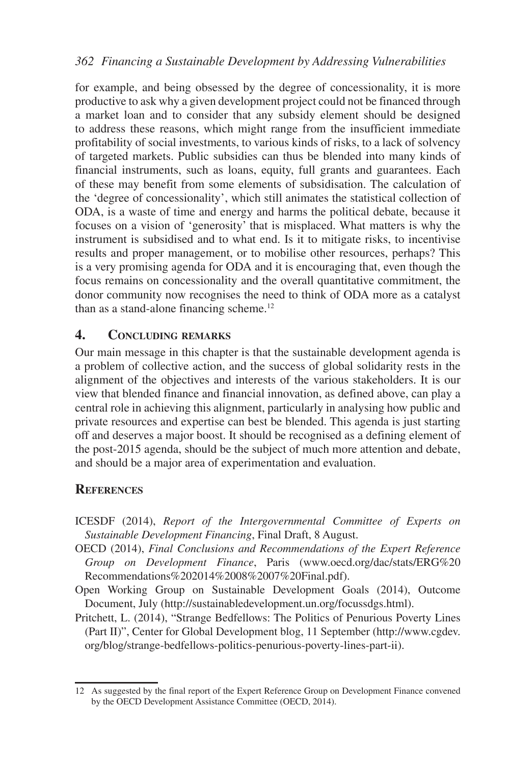for example, and being obsessed by the degree of concessionality, it is more productive to ask why a given development project could not be financed through a market loan and to consider that any subsidy element should be designed to address these reasons, which might range from the insufficient immediate profitability of social investments, to various kinds of risks, to a lack of solvency of targeted markets. Public subsidies can thus be blended into many kinds of financial instruments, such as loans, equity, full grants and guarantees. Each of these may benefit from some elements of subsidisation. The calculation of the 'degree of concessionality', which still animates the statistical collection of ODA, is a waste of time and energy and harms the political debate, because it focuses on a vision of 'generosity' that is misplaced. What matters is why the instrument is subsidised and to what end. Is it to mitigate risks, to incentivise results and proper management, or to mobilise other resources, perhaps? This is a very promising agenda for ODA and it is encouraging that, even though the focus remains on concessionality and the overall quantitative commitment, the donor community now recognises the need to think of ODA more as a catalyst than as a stand-alone financing scheme.12

# **4. Concluding remarks**

Our main message in this chapter is that the sustainable development agenda is a problem of collective action, and the success of global solidarity rests in the alignment of the objectives and interests of the various stakeholders. It is our view that blended finance and financial innovation, as defined above, can play a central role in achieving this alignment, particularly in analysing how public and private resources and expertise can best be blended. This agenda is just starting off and deserves a major boost. It should be recognised as a defining element of the post-2015 agenda, should be the subject of much more attention and debate, and should be a major area of experimentation and evaluation.

# **References**

- ICESDF (2014), *Report of the Intergovernmental Committee of Experts on Sustainable Development Financing*, Final Draft, 8 August.
- OECD (2014), *Final Conclusions and Recommendations of the Expert Reference Group on Development Finance*, Paris [\(www.oecd.org/dac/stats/ERG%20](www.oecd.org/dac/stats/ERG%20Recommendations%202014%2008%2007%20Final.pdf) [Recommendations%202014%2008%2007%20Final.pdf\)](www.oecd.org/dac/stats/ERG%20Recommendations%202014%2008%2007%20Final.pdf).
- Open Working Group on Sustainable Development Goals (2014), Outcome Document, July ([http://sustainabledevelopment.un.org/focussdgs.html\)](http://sustainabledevelopment.un.org/focussdgs.html).
- Pritchett, L. (2014), "Strange Bedfellows: The Politics of Penurious Poverty Lines (Part II)", Center for Global Development blog, 11 September ([http://www.cgdev.](http://www.cgdev.org/blog/strange-bedfellows-politics-penurious-poverty-lines-part-ii) [org/blog/strange-bedfellows-politics-penurious-poverty-lines-part-ii](http://www.cgdev.org/blog/strange-bedfellows-politics-penurious-poverty-lines-part-ii)).

<sup>12</sup> As suggested by the final report of the Expert Reference Group on Development Finance convened by the OECD Development Assistance Committee (OECD, 2014).